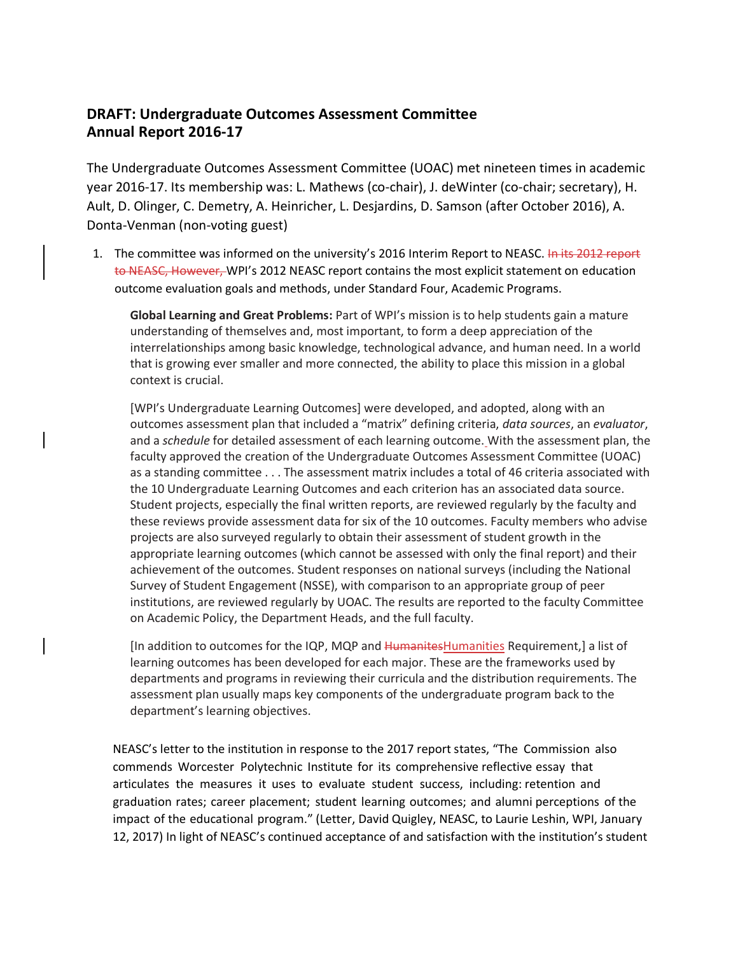## **DRAFT: Undergraduate Outcomes Assessment Committee Annual Report 2016-17**

The Undergraduate Outcomes Assessment Committee (UOAC) met nineteen times in academic year 2016-17. Its membership was: L. Mathews (co-chair), J. deWinter (co-chair; secretary), H. Ault, D. Olinger, C. Demetry, A. Heinricher, L. Desjardins, D. Samson (after October 2016), A. Donta-Venman (non-voting guest)

1. The committee was informed on the university's 2016 Interim Report to NEASC. In its 2012 report to NEASC, However, WPI's 2012 NEASC report contains the most explicit statement on education outcome evaluation goals and methods, under Standard Four, Academic Programs.

**Global Learning and Great Problems:** Part of WPI's mission is to help students gain a mature understanding of themselves and, most important, to form a deep appreciation of the interrelationships among basic knowledge, technological advance, and human need. In a world that is growing ever smaller and more connected, the ability to place this mission in a global context is crucial.

[WPI's Undergraduate Learning Outcomes] were developed, and adopted, along with an outcomes assessment plan that included a "matrix" defining criteria, *data sources*, an *evaluator*, and a *schedule* for detailed assessment of each learning outcome. With the assessment plan, the faculty approved the creation of the Undergraduate Outcomes Assessment Committee (UOAC) as a standing committee . . . The assessment matrix includes a total of 46 criteria associated with the 10 Undergraduate Learning Outcomes and each criterion has an associated data source. Student projects, especially the final written reports, are reviewed regularly by the faculty and these reviews provide assessment data for six of the 10 outcomes. Faculty members who advise projects are also surveyed regularly to obtain their assessment of student growth in the appropriate learning outcomes (which cannot be assessed with only the final report) and their achievement of the outcomes. Student responses on national surveys (including the National Survey of Student Engagement (NSSE), with comparison to an appropriate group of peer institutions, are reviewed regularly by UOAC. The results are reported to the faculty Committee on Academic Policy, the Department Heads, and the full faculty.

[In addition to outcomes for the IQP, MQP and HumanitesHumanities Requirement,] a list of learning outcomes has been developed for each major. These are the frameworks used by departments and programs in reviewing their curricula and the distribution requirements. The assessment plan usually maps key components of the undergraduate program back to the department's learning objectives.

NEASC's letter to the institution in response to the 2017 report states, "The Commission also commends Worcester Polytechnic Institute for its comprehensive reflective essay that articulates the measures it uses to evaluate student success, including: retention and graduation rates; career placement; student learning outcomes; and alumni perceptions of the impact of the educational program." (Letter, David Quigley, NEASC, to Laurie Leshin, WPI, January 12, 2017) In light of NEASC's continued acceptance of and satisfaction with the institution's student